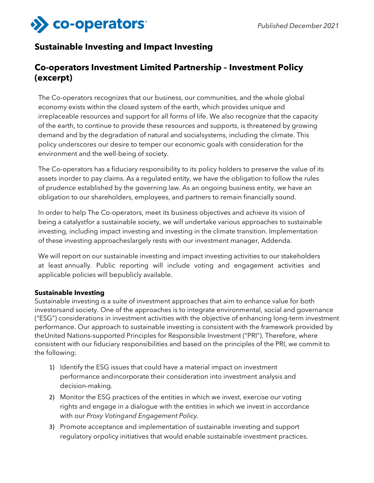

# **Sustainable Investing and Impact Investing**

# **Co-operators Investment Limited Partnership – Investment Policy (excerpt)**

The Co-operators recognizes that our business, our communities, and the whole global economy exists within the closed system of the earth, which provides unique and irreplaceable resources and support for all forms of life. We also recognize that the capacity of the earth, to continue to provide these resources and supports, is threatened by growing demand and by the degradation of natural and social systems, including the climate. This policy underscores our desire to temper our economic goals with consideration for the environment and the well-being of society.

The Co-operators has a fiduciary responsibility to its policy holders to preserve the value of its assets inorder to pay claims. As a regulated entity, we have the obligation to follow the rules of prudence established by the governing law. As an ongoing business entity, we have an obligation to our shareholders, employees, and partners to remain financially sound.

In order to help The Co-operators, meet its business objectives and achieve its vision of being a catalystfor a sustainable society, we will undertake various approaches to sustainable investing, including impact investing and investing in the climate transition. Implementation of these investing approacheslargely rests with our investment manager, Addenda.

We will report on our sustainable investing and impact investing activities to our stakeholders at least annually. Public reporting will include voting and engagement activities and applicable policies will bepublicly available.

#### **Sustainable Investing**

Sustainable investing is a suite of investment approaches that aim to enhance value for both investorsand society. One of the approaches is to integrate environmental, social and governance ("ESG") considerations in investment activities with the objective of enhancing long-term investment performance. Our approach to sustainable investing is consistent with the framework provided by theUnited Nations-supported Principles for Responsible Investment ("PRI"). Therefore, where consistent with our fiduciary responsibilities and based on the principles of the PRI, we commit to the following:

- 1) Identify the ESG issues that could have a material impact on investment performance andincorporate their consideration into investment analysis and decision-making.
- 2) Monitor the ESG practices of the entities in which we invest, exercise our voting rights and engage in a dialogue with the entities in which we invest in accordance with our *Proxy Voting and Engagement Policy*.
- 3) Promote acceptance and implementation of sustainable investing and support regulatory orpolicy initiatives that would enable sustainable investment practices.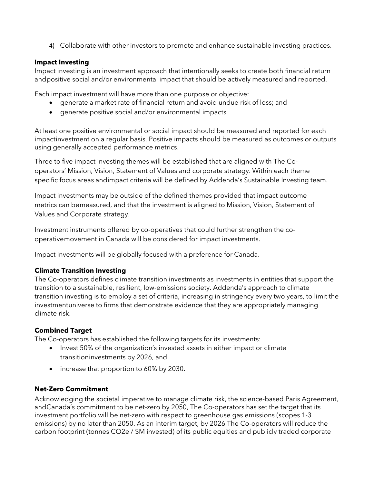4) Collaborate with other investors to promote and enhance sustainable investing practices.

#### **Impact Investing**

Impact investing is an investment approach that intentionally seeks to create both financial return andpositive social and/or environmental impact that should be actively measured and reported.

Each impact investment will have more than one purpose or objective:

- generate a market rate of financial return and avoid undue risk of loss; and
- generate positive social and/or environmental impacts.

At least one positive environmental or social impact should be measured and reported for each impactinvestment on a regular basis. Positive impacts should be measured as outcomes or outputs using generally accepted performance metrics.

Three to five impact investing themes will be established that are aligned with The Cooperators' Mission, Vision, Statement of Values and corporate strategy. Within each theme specific focus areas andimpact criteria will be defined by Addenda's Sustainable Investing team.

Impact investments may be outside of the defined themes provided that impact outcome metrics can bemeasured, and that the investment is aligned to Mission, Vision, Statement of Values and Corporate strategy.

Investment instruments offered by co-operatives that could further strengthen the cooperativemovement in Canada will be considered for impact investments.

Impact investments will be globally focused with a preference for Canada.

### **Climate Transition Investing**

The Co-operators defines climate transition investments as investments in entities that support the transition to a sustainable, resilient, low-emissions society. Addenda's approach to climate transition investing is to employ a set of criteria, increasing in stringency every two years, to limit the investmentuniverse to firms that demonstrate evidence that they are appropriately managing climate risk.

### **Combined Target**

The Co-operators has established the following targets for its investments:

- Invest 50% of the organization's invested assets in either impact or climate transitioninvestments by 2026, and
- increase that proportion to 60% by 2030.

### **Net-Zero Commitment**

Acknowledging the societal imperative to manage climate risk, the science-based Paris Agreement, andCanada's commitment to be net-zero by 2050, The Co-operators has set the target that its investment portfolio will be net-zero with respect to greenhouse gas emissions (scopes 1-3 emissions) by no later than 2050. As an interim target, by 2026 The Co-operators will reduce the carbon footprint (tonnes CO2e / \$M invested) of its public equities and publicly traded corporate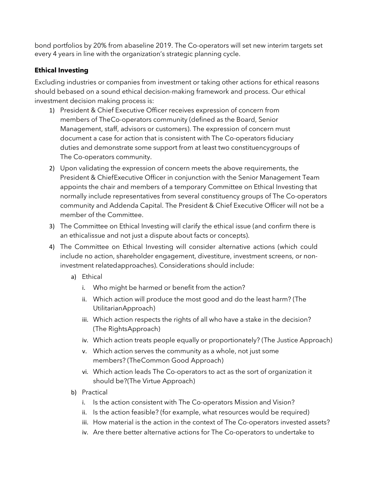bond portfolios by 20% from abaseline 2019. The Co-operators will set new interim targets set every 4 years in line with the organization's strategic planning cycle.

### **Ethical Investing**

Excluding industries or companies from investment or taking other actions for ethical reasons should bebased on a sound ethical decision-making framework and process. Our ethical investment decision making process is:

- 1) President & Chief Executive Officer receives expression of concern from members of TheCo-operators community (defined as the Board, Senior Management, staff, advisors or customers). The expression of concern must document a case for action that is consistent with The Co-operators fiduciary duties and demonstrate some support from at least two constituencygroups of The Co-operators community.
- 2) Upon validating the expression of concern meets the above requirements, the President & ChiefExecutive Officer in conjunction with the Senior Management Team appoints the chair and members of a temporary Committee on Ethical Investing that normally include representatives from several constituency groups of The Co-operators community and Addenda Capital. The President & Chief Executive Officer will not be a member of the Committee.
- 3) The Committee on Ethical Investing will clarify the ethical issue (and confirm there is an ethicalissue and not just a dispute about facts or concepts).
- 4) The Committee on Ethical Investing will consider alternative actions (which could include no action, shareholder engagement, divestiture, investment screens, or noninvestment relatedapproaches). Considerations should include:
	- a) Ethical
		- i. Who might be harmed or benefit from the action?
		- ii. Which action will produce the most good and do the least harm? (The UtilitarianApproach)
		- iii. Which action respects the rights of all who have a stake in the decision? (The RightsApproach)
		- iv. Which action treats people equally or proportionately? (The Justice Approach)
		- v. Which action serves the community as a whole, not just some members? (TheCommon Good Approach)
		- vi. Which action leads The Co-operators to act as the sort of organization it should be?(The Virtue Approach)
	- b) Practical
		- i. Is the action consistent with The Co-operators Mission and Vision?
		- ii. Is the action feasible? (for example, what resources would be required)
		- iii. How material is the action in the context of The Co-operators invested assets?
		- iv. Are there better alternative actions for The Co-operators to undertake to